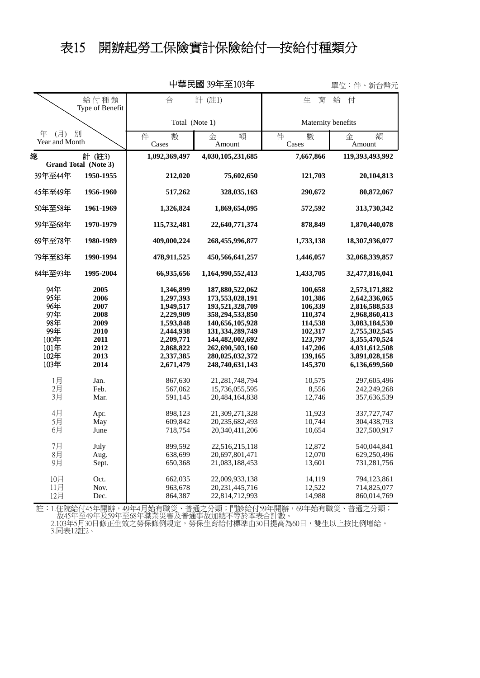## 表15 開辦起勞工保險實計保險給付─按給付種類分

| 平華氏國 39牛至103牛<br>單位:件、<br>新台幣元 |                                |                 |                    |                    |                  |
|--------------------------------|--------------------------------|-----------------|--------------------|--------------------|------------------|
|                                | 給付種類<br>Type of Benefit        | 合               | 計 (註1)             | 生<br>育             | 給<br>付           |
|                                |                                | Total (Note 1)  |                    | Maternity benefits |                  |
| (月) 別<br>年<br>Year and Month   |                                | 件<br>數<br>Cases | 額<br>金<br>Amount   | 件<br>數<br>Cases    | 額<br>金<br>Amount |
| 總                              | 計 (註3)<br>Grand Total (Note 3) | 1,092,369,497   | 4,030,105,231,685  | 7,667,866          | 119,393,493,992  |
| 39年至44年                        | 1950-1955                      | 212,020         | 75,602,650         | 121,703            | 20,104,813       |
| 45年至49年                        | 1956-1960                      | 517,262         | 328,035,163        | 290,672            | 80,872,067       |
| 50年至58年                        | 1961-1969                      | 1,326,824       | 1,869,654,095      | 572,592            | 313,730,342      |
| 59年至68年                        | 1970-1979                      | 115,732,481     | 22,640,771,374     | 878,849            | 1,870,440,078    |
| 69年至78年                        | 1980-1989                      | 409,000,224     | 268,455,996,877    | 1,733,138          | 18,307,936,077   |
| 79年至83年                        | 1990-1994                      | 478,911,525     | 450,566,641,257    | 1,446,057          | 32,068,339,857   |
| 84年至93年                        | 1995-2004                      | 66,935,656      | 1,164,990,552,413  | 1,433,705          | 32,477,816,041   |
| 94年                            | 2005                           | 1,346,899       | 187,880,522,062    | 100,658            | 2,573,171,882    |
| 95年                            | 2006                           | 1,297,393       | 173,553,028,191    | 101,386            | 2,642,336,065    |
| 96年                            | 2007                           | 1,949,517       | 193,521,328,709    | 106,339            | 2,816,588,533    |
| 97年                            | 2008                           | 2,229,909       | 358,294,533,850    | 110,374            | 2,968,860,413    |
| 98年                            | 2009                           | 1,593,848       | 140,656,105,928    | 114,538            | 3,083,184,530    |
| 99年                            | 2010                           | 2,444,938       | 131, 334, 289, 749 | 102,317            | 2,755,302,545    |
| 100年                           | 2011                           | 2,209,771       | 144,482,002,692    | 123,797            | 3,355,470,524    |
| $101$ 年                        | 2012                           | 2,868,822       | 262,690,503,160    | 147,206            | 4,031,612,508    |
| 102年                           | 2013                           | 2,337,385       | 280,025,032,372    | 139,165            | 3,891,028,158    |
| 103年                           | 2014                           | 2,671,479       | 248,740,631,143    | 145,370            | 6,136,699,560    |
| 1月                             | Jan.                           | 867,630         | 21, 281, 748, 794  | 10,575             | 297,605,496      |
| 2月                             | Feb.                           | 567,062         | 15,736,055,595     | 8,556              | 242,249,268      |
| 3月                             | Mar.                           | 591,145         | 20,484,164,838     | 12,746             | 357,636,539      |
| 4月                             | Apr.                           | 898,123         | 21,309,271,328     | 11,923             | 337,727,747      |
| 5月                             | May                            | 609,842         | 20,235,682,493     | 10,744             | 304,438,793      |
| 6月                             | June                           | 718,754         | 20,340,411,206     | 10,654             | 327,500,917      |
| 7月                             | July                           | 899,592         | 22,516,215,118     | 12,872             | 540,044,841      |
| 8月                             | Aug.                           | 638,699         | 20,697,801,471     | 12,070             | 629,250,496      |
| 9月                             | Sept.                          | 650,368         | 21,083,188,453     | 13,601             | 731,281,756      |
| 10月                            | Oct.                           | 662,035         | 22,009,933,138     | 14,119             | 794,123,861      |
| 11月                            | Nov.                           | 963,678         | 20, 231, 445, 716  | 12,522             | 714,825,077      |
| 12月                            | Dec.                           | 864,387         | 22,814,712,993     | 14,988             | 860,014,769      |

中華民國 39年至103年

3.同表12註2。 2.103年5月30日修正生效之勞保條例規定,勞保生育給付標準由30日提高為60日,雙生以上按比例增給。 故45年至49年及59年至68年職業災害及普通事故加總不等於本表合計數。 註:1.住院給付45年開辦,49年4月始有職災、普通之分類;門診給付59年開辦,69年始有職災、普通之分類;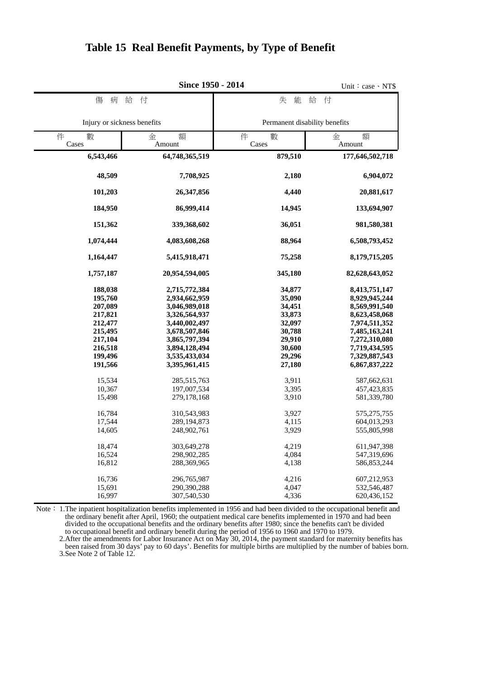|                                                                                                                                | Since 1950 - 2014                                                                                                                                                                                    |                                                                                                                    | Unit: $case \cdot NTS$                                                                                                                                                                               |  |
|--------------------------------------------------------------------------------------------------------------------------------|------------------------------------------------------------------------------------------------------------------------------------------------------------------------------------------------------|--------------------------------------------------------------------------------------------------------------------|------------------------------------------------------------------------------------------------------------------------------------------------------------------------------------------------------|--|
| 傷<br>病                                                                                                                         | 給<br>付                                                                                                                                                                                               | 能<br>失                                                                                                             | 給<br>付                                                                                                                                                                                               |  |
| Injury or sickness benefits                                                                                                    |                                                                                                                                                                                                      | Permanent disability benefits                                                                                      |                                                                                                                                                                                                      |  |
| 件<br>數<br>Cases                                                                                                                | 額<br>金<br>Amount                                                                                                                                                                                     |                                                                                                                    | 額<br>金<br>Amount                                                                                                                                                                                     |  |
| 6,543,466                                                                                                                      | 64,748,365,519                                                                                                                                                                                       | 879,510                                                                                                            | 177,646,502,718                                                                                                                                                                                      |  |
| 48,509                                                                                                                         | 7,708,925                                                                                                                                                                                            | 2,180                                                                                                              | 6,904,072                                                                                                                                                                                            |  |
| 101,203                                                                                                                        | 26,347,856                                                                                                                                                                                           | 4,440                                                                                                              | 20,881,617                                                                                                                                                                                           |  |
| 184,950                                                                                                                        | 86,999,414                                                                                                                                                                                           | 14,945                                                                                                             | 133,694,907                                                                                                                                                                                          |  |
| 151,362                                                                                                                        | 339,368,602                                                                                                                                                                                          | 36,051                                                                                                             | 981,580,381                                                                                                                                                                                          |  |
| 1,074,444                                                                                                                      | 4,083,608,268                                                                                                                                                                                        | 88,964                                                                                                             | 6,508,793,452                                                                                                                                                                                        |  |
| 1,164,447                                                                                                                      | 5,415,918,471                                                                                                                                                                                        | 75,258                                                                                                             | 8,179,715,205                                                                                                                                                                                        |  |
| 1,757,187                                                                                                                      | 20,954,594,005                                                                                                                                                                                       | 345,180                                                                                                            | 82,628,643,052                                                                                                                                                                                       |  |
| 188,038<br>195,760<br>207,089<br>217,821<br>212,477<br>215,495<br>217,104<br>216,518<br>199,496<br>191,566<br>15,534<br>10,367 | 2,715,772,384<br>2,934,662,959<br>3,046,989,018<br>3,326,564,937<br>3,440,002,497<br>3,678,507,846<br>3,865,797,394<br>3,894,128,494<br>3,535,433,034<br>3,395,961,415<br>285,515,763<br>197,007,534 | 34,877<br>35,090<br>34,451<br>33,873<br>32,097<br>30,788<br>29,910<br>30,600<br>29,296<br>27,180<br>3,911<br>3,395 | 8,413,751,147<br>8,929,945,244<br>8,569,991,540<br>8,623,458,068<br>7,974,511,352<br>7,485,163,241<br>7,272,310,080<br>7,719,434,595<br>7,329,887,543<br>6,867,837,222<br>587,662,631<br>457,423,835 |  |
| 15,498<br>16,784<br>17,544<br>14,605                                                                                           | 279,178,168<br>310,543,983<br>289,194,873<br>248,902,761                                                                                                                                             | 3,910<br>3,927<br>4,115<br>3,929                                                                                   | 581,339,780<br>575,275,755<br>604,013,293<br>555,805,998                                                                                                                                             |  |
| 18,474<br>16,524<br>16,812<br>16,736<br>15,691                                                                                 | 303,649,278<br>298,902,285<br>288,369,965<br>296,765,987<br>290,390,288                                                                                                                              | 4,219<br>4,084<br>4,138<br>4,216<br>4,047                                                                          | 611,947,398<br>547,319,696<br>586,853,244<br>607,212,953<br>532,546,487                                                                                                                              |  |
| 16,997                                                                                                                         | 307,540,530                                                                                                                                                                                          | 4,336                                                                                                              | 620,436,152                                                                                                                                                                                          |  |

## **Table 15 Real Benefit Payments, by Type of Benefit**

 to occupational benefit and ordinary benefit during the period of 1956 to 1960 and 1970 to 1979. divided to the occupational benefits and the ordinary benefits after 1980; since the benefits can't be divided the ordinary benefit after April, 1960; the outpatient medical care benefits implemented in 1970 and had been Note: 1. The inpatient hospitalization benefits implemented in 1956 and had been divided to the occupational benefit and

3.See Note 2 of Table 12. been raised from 30 days' pay to 60 days'. Benefits for multiple births are multiplied by the number of babies born. 2.After the amendments for Labor Insurance Act on May 30, 2014, the payment standard for maternity benefits has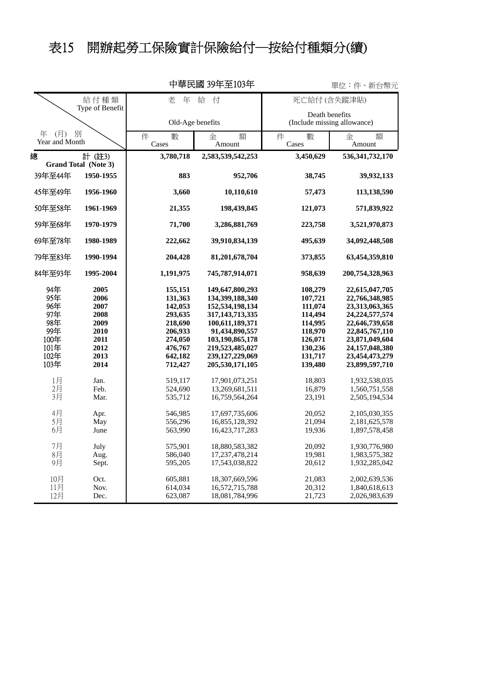## 表15 開辦起勞工保險實計保險給付─按給付種類分(續)

|                           |                                |                    | 甲華氏國 39年至103年                      |                                               | 單位:件、新台幣元                        |  |
|---------------------------|--------------------------------|--------------------|------------------------------------|-----------------------------------------------|----------------------------------|--|
| 給付種類<br>Type of Benefit   |                                | 年<br>給<br>老<br>付   |                                    | 死亡給付 (含失蹤津貼)                                  |                                  |  |
|                           |                                | Old-Age benefits   |                                    | Death benefits<br>(Include missing allowance) |                                  |  |
| 年 (月) 別<br>Year and Month |                                | 件<br>數<br>Cases    | 額<br>金<br>Amount                   | 件<br>數<br>Cases                               | 額<br>金<br>Amount                 |  |
| 總                         | 計 (註3)<br>Grand Total (Note 3) | 3,780,718          | 2,583,539,542,253                  | 3,450,629                                     | 536, 341, 732, 170               |  |
| 39年至44年                   | 1950-1955                      | 883                | 952,706                            | 38,745                                        | 39,932,133                       |  |
| 45年至49年                   | 1956-1960                      | 3,660              | 10,110,610                         | 57,473                                        | 113,138,590                      |  |
| 50年至58年                   | 1961-1969                      | 21,355             | 198,439,845                        | 121,073                                       | 571,839,922                      |  |
| 59年至68年                   | 1970-1979                      | 71,700             | 3,286,881,769                      | 223,758                                       | 3,521,970,873                    |  |
| 69年至78年                   | 1980-1989                      | 222,662            | 39,910,834,139                     | 495,639                                       | 34,092,448,508                   |  |
| 79年至83年                   | 1990-1994                      | 204,428            | 81,201,678,704                     | 373,855                                       | 63,454,359,810                   |  |
| 84年至93年                   | 1995-2004                      | 1,191,975          | 745,787,914,071                    | 958,639                                       | 200,754,328,963                  |  |
| 94年<br>95年                | 2005<br>2006                   | 155,151<br>131,363 | 149,647,800,293<br>134,399,188,340 | 108,279<br>107,721                            | 22,615,047,705<br>22,766,348,985 |  |
| 96年                       | 2007                           | 142,053            | 152,534,198,134                    | 111,074                                       | 23,313,063,365                   |  |
| 97年                       | 2008                           | 293,635            | 317, 143, 713, 335                 | 114,494                                       | 24, 224, 577, 574                |  |
| 98年                       | 2009                           | 218,690            | 100,611,189,371                    | 114,995                                       | 22,646,739,658                   |  |
| 99年                       | 2010                           | 206,933            | 91,434,890,557                     | 118,970                                       | 22,845,767,110                   |  |
| 100年                      | 2011                           | 274,050            | 103,190,865,178                    | 126,071                                       | 23,871,049,604                   |  |
| 101年                      | 2012                           | 476,767            | 219,523,485,027                    | 130,236                                       | 24,157,048,380                   |  |
| 102年                      | 2013                           | 642,182            | 239, 127, 229, 069                 | 131,717                                       | 23,454,473,279                   |  |
| 103年                      | 2014                           | 712,427            | 205,530,171,105                    | 139,480                                       | 23,899,597,710                   |  |
| 1月                        | Jan.                           | 519,117            | 17,901,073,251                     | 18,803                                        | 1,932,538,035                    |  |
| 2 <sup>7</sup><br>3月      | Feb.                           | 524,690            | 13,269,681,511                     | 16,879                                        | 1,560,751,558                    |  |
|                           | Mar.                           | 535,712            | 16,759,564,264                     | 23,191                                        | 2,505,194,534                    |  |
| 4月                        | Apr.                           | 546,985            | 17,697,735,606                     | 20,052                                        | 2,105,030,355                    |  |
| 5月                        | May                            | 556,296            | 16,855,128,392                     | 21,094                                        | 2,181,625,578                    |  |
| 6月                        | June                           | 563,990            | 16,423,717,283                     | 19,936                                        | 1,897,578,458                    |  |
| 7月                        | July                           | 575,901            | 18,880,583,382                     | 20,092                                        | 1,930,776,980                    |  |
| 8月                        | Aug.                           | 586,040            | 17,237,478,214                     | 19,981                                        | 1,983,575,382                    |  |
| 9月                        | Sept.                          | 595,205            | 17,543,038,822                     | 20,612                                        | 1,932,285,042                    |  |
| 10月                       | Oct.                           | 605,881            | 18,307,669,596                     | 21,083                                        | 2,002,639,536                    |  |
| 11月                       | Nov.                           | 614,034            | 16,572,715,788                     | 20,312                                        | 1,840,618,613                    |  |
| 12月                       | Dec.                           | 623,087            | 18,081,784,996                     | 21,723                                        | 2,026,983,639                    |  |

中華民國 39年至103年